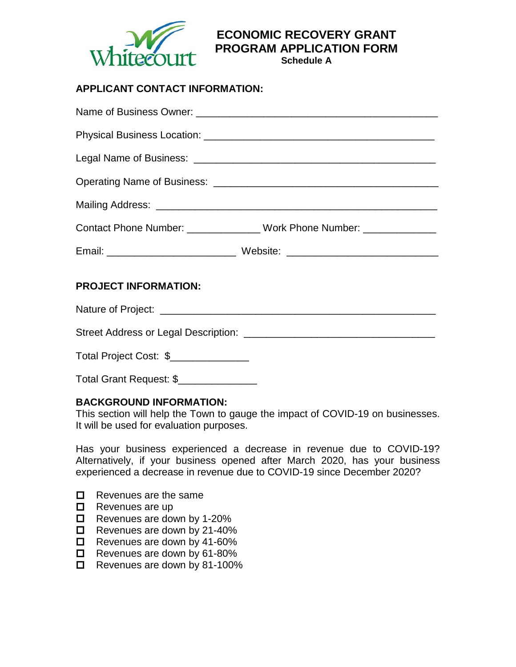

**ECONOMIC RECOVERY GRANT PROGRAM APPLICATION FORM**

**Schedule A**

# **APPLICANT CONTACT INFORMATION:**

|                             | Contact Phone Number: _______________ Work Phone Number: ______________ |
|-----------------------------|-------------------------------------------------------------------------|
|                             |                                                                         |
| <b>PROJECT INFORMATION:</b> |                                                                         |
|                             |                                                                         |
|                             |                                                                         |
|                             |                                                                         |

Total Grant Request: \$\_\_\_\_\_\_\_\_\_\_\_\_\_\_

#### **BACKGROUND INFORMATION:**

This section will help the Town to gauge the impact of COVID-19 on businesses. It will be used for evaluation purposes.

Has your business experienced a decrease in revenue due to COVID-19? Alternatively, if your business opened after March 2020, has your business experienced a decrease in revenue due to COVID-19 since December 2020?

- $\Box$  Revenues are the same
- $\Box$  Revenues are up
- $\Box$  Revenues are down by 1-20%
- $\Box$  Revenues are down by 21-40%
- Revenues are down by 41-60%
- $\Box$  Revenues are down by 61-80%
- $\Box$  Revenues are down by 81-100%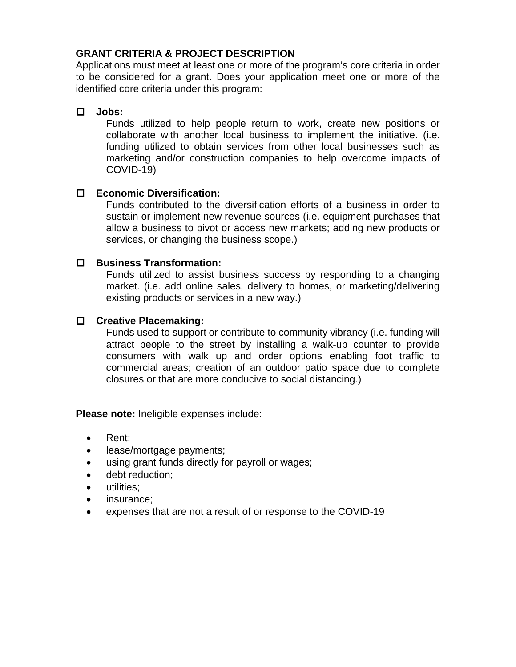### **GRANT CRITERIA & PROJECT DESCRIPTION**

Applications must meet at least one or more of the program's core criteria in order to be considered for a grant. Does your application meet one or more of the identified core criteria under this program:

# **Jobs:**

Funds utilized to help people return to work, create new positions or collaborate with another local business to implement the initiative. (i.e. funding utilized to obtain services from other local businesses such as marketing and/or construction companies to help overcome impacts of COVID-19)

## **Economic Diversification:**

Funds contributed to the diversification efforts of a business in order to sustain or implement new revenue sources (i.e. equipment purchases that allow a business to pivot or access new markets; adding new products or services, or changing the business scope.)

## **Business Transformation:**

Funds utilized to assist business success by responding to a changing market. (i.e. add online sales, delivery to homes, or marketing/delivering existing products or services in a new way.)

#### **Creative Placemaking:**

Funds used to support or contribute to community vibrancy (i.e. funding will attract people to the street by installing a walk-up counter to provide consumers with walk up and order options enabling foot traffic to commercial areas; creation of an outdoor patio space due to complete closures or that are more conducive to social distancing.)

**Please note:** Ineligible expenses include:

- Rent:
- lease/mortgage payments;
- using grant funds directly for payroll or wages;
- debt reduction:
- utilities:
- insurance;
- expenses that are not a result of or response to the COVID-19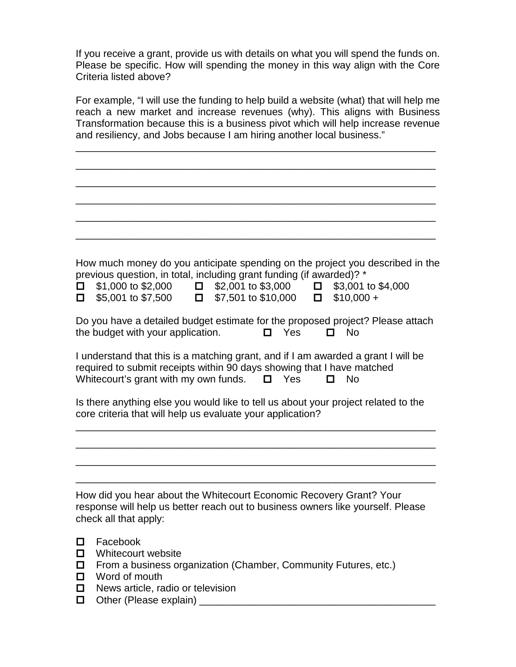If you receive a grant, provide us with details on what you will spend the funds on. Please be specific. How will spending the money in this way align with the Core Criteria listed above?

For example, "I will use the funding to help build a website (what) that will help me reach a new market and increase revenues (why). This aligns with Business Transformation because this is a business pivot which will help increase revenue and resiliency, and Jobs because I am hiring another local business."

\_\_\_\_\_\_\_\_\_\_\_\_\_\_\_\_\_\_\_\_\_\_\_\_\_\_\_\_\_\_\_\_\_\_\_\_\_\_\_\_\_\_\_\_\_\_\_\_\_\_\_\_\_\_\_\_\_\_\_\_\_\_\_\_

\_\_\_\_\_\_\_\_\_\_\_\_\_\_\_\_\_\_\_\_\_\_\_\_\_\_\_\_\_\_\_\_\_\_\_\_\_\_\_\_\_\_\_\_\_\_\_\_\_\_\_\_\_\_\_\_\_\_\_\_\_\_\_\_

\_\_\_\_\_\_\_\_\_\_\_\_\_\_\_\_\_\_\_\_\_\_\_\_\_\_\_\_\_\_\_\_\_\_\_\_\_\_\_\_\_\_\_\_\_\_\_\_\_\_\_\_\_\_\_\_\_\_\_\_\_\_\_\_

\_\_\_\_\_\_\_\_\_\_\_\_\_\_\_\_\_\_\_\_\_\_\_\_\_\_\_\_\_\_\_\_\_\_\_\_\_\_\_\_\_\_\_\_\_\_\_\_\_\_\_\_\_\_\_\_\_\_\_\_\_\_\_\_

\_\_\_\_\_\_\_\_\_\_\_\_\_\_\_\_\_\_\_\_\_\_\_\_\_\_\_\_\_\_\_\_\_\_\_\_\_\_\_\_\_\_\_\_\_\_\_\_\_\_\_\_\_\_\_\_\_\_\_\_\_\_\_\_

\_\_\_\_\_\_\_\_\_\_\_\_\_\_\_\_\_\_\_\_\_\_\_\_\_\_\_\_\_\_\_\_\_\_\_\_\_\_\_\_\_\_\_\_\_\_\_\_\_\_\_\_\_\_\_\_\_\_\_\_\_\_\_\_

How much money do you anticipate spending on the project you described in the previous question, in total, including grant funding (if awarded)? \*

| $\Box$ \$1,000 to \$2,000 | $\Box$ \$2,001 to \$3,000  | $\Box$ \$3,001 to \$4,000 |
|---------------------------|----------------------------|---------------------------|
| $\Box$ \$5,001 to \$7,500 | $\Box$ \$7,501 to \$10,000 | $\Box$ \$10,000 +         |

Do you have a detailed budget estimate for the proposed project? Please attach the budget with your application. Yes No

I understand that this is a matching grant, and if I am awarded a grant I will be required to submit receipts within 90 days showing that I have matched Whitecourt's grant with my own funds.  $\Box$  Yes  $\Box$  No

Is there anything else you would like to tell us about your project related to the core criteria that will help us evaluate your application?

\_\_\_\_\_\_\_\_\_\_\_\_\_\_\_\_\_\_\_\_\_\_\_\_\_\_\_\_\_\_\_\_\_\_\_\_\_\_\_\_\_\_\_\_\_\_\_\_\_\_\_\_\_\_\_\_\_\_\_\_\_\_\_\_

\_\_\_\_\_\_\_\_\_\_\_\_\_\_\_\_\_\_\_\_\_\_\_\_\_\_\_\_\_\_\_\_\_\_\_\_\_\_\_\_\_\_\_\_\_\_\_\_\_\_\_\_\_\_\_\_\_\_\_\_\_\_\_\_

\_\_\_\_\_\_\_\_\_\_\_\_\_\_\_\_\_\_\_\_\_\_\_\_\_\_\_\_\_\_\_\_\_\_\_\_\_\_\_\_\_\_\_\_\_\_\_\_\_\_\_\_\_\_\_\_\_\_\_\_\_\_\_\_

\_\_\_\_\_\_\_\_\_\_\_\_\_\_\_\_\_\_\_\_\_\_\_\_\_\_\_\_\_\_\_\_\_\_\_\_\_\_\_\_\_\_\_\_\_\_\_\_\_\_\_\_\_\_\_\_\_\_\_\_\_\_\_\_

How did you hear about the Whitecourt Economic Recovery Grant? Your response will help us better reach out to business owners like yourself. Please check all that apply:

- Facebook
- $\Box$  Whitecourt website
- $\Box$  From a business organization (Chamber, Community Futures, etc.)
- $\Box$  Word of mouth
- □ News article, radio or television
- Other (Please explain) \_\_\_\_\_\_\_\_\_\_\_\_\_\_\_\_\_\_\_\_\_\_\_\_\_\_\_\_\_\_\_\_\_\_\_\_\_\_\_\_\_\_